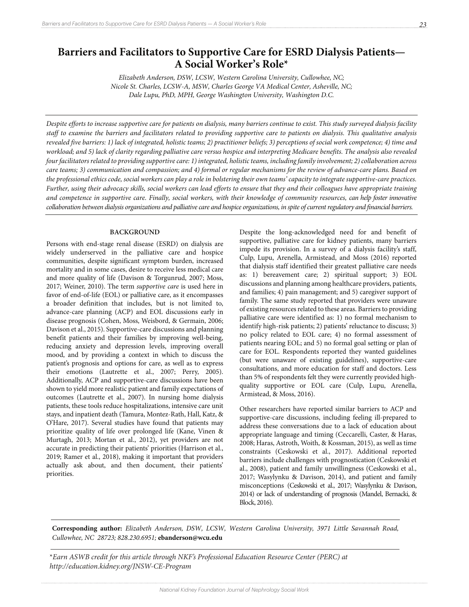# **Barriers and Facilitators to Supportive Care for ESRD Dialysis Patients— A Social Worker's Role\***

*Elizabeth Anderson, DSW, LCSW, Western Carolina University, Cullowhee, NC; Nicole St. Charles, LCSW-A, MSW, Charles George VA Medical Center, Asheville, NC; Dale Lupu, PhD, MPH, George Washington University, Washington D.C.*

*Despite efforts to increase supportive care for patients on dialysis, many barriers continue to exist. This study surveyed dialysis facility staff to examine the barriers and facilitators related to providing supportive care to patients on dialysis. This qualitative analysis revealed five barriers: 1) lack of integrated, holistic teams; 2) practitioner beliefs; 3) perceptions of social work competence; 4) time and workload; and 5) lack of clarity regarding palliative care versus hospice and interpreting Medicare benefits. The analysis also revealed four facilitators related to providing supportive care: 1) integrated, holistic teams, including family involvement; 2) collaboration across care teams; 3) communication and compassion; and 4) formal or regular mechanisms for the review of advance-care plans. Based on the professional ethics code, social workers can play a role in bolstering their own teams' capacity to integrate supportive-care practices. Further, using their advocacy skills, social workers can lead efforts to ensure that they and their colleagues have appropriate training and competence in supportive care. Finally, social workers, with their knowledge of community resources, can help foster innovative collaboration between dialysis organizations and palliative care and hospice organizations, in spite of current regulatory and financial barriers.* 

### **BACKGROUND**

Persons with end-stage renal disease (ESRD) on dialysis are widely underserved in the palliative care and hospice communities, despite significant symptom burden, increased mortality and in some cases, desire to receive less medical care and more quality of life (Davison & Torgunrud, 2007; Moss, 2017; Weiner, 2010). The term *supportive care* is used here in favor of end-of-life (EOL) or palliative care, as it encompasses a broader definition that includes, but is not limited to, advance-care planning (ACP) and EOL discussions early in disease prognosis (Cohen, Moss, Weisbord, & Germain, 2006; Davison et al., 2015). Supportive-care discussions and planning benefit patients and their families by improving well-being, reducing anxiety and depression levels, improving overall mood, and by providing a context in which to discuss the patient's prognosis and options for care, as well as to express their emotions (Lautrette et al., 2007; Perry, 2005). Additionally, ACP and supportive-care discussions have been shown to yield more realistic patient and family expectations of outcomes (Lautrette et al., 2007). In nursing home dialysis patients, these tools reduce hospitalizations, intensive care unit stays, and inpatient death (Tamura, Montez-Rath, Hall, Katz, & O'Hare, 2017). Several studies have found that patients may prioritize quality of life over prolonged life (Kane, Vinen & Murtagh, 2013; Mortan et al., 2012), yet providers are not accurate in predicting their patients' priorities (Harrison et al., 2019; Ramer et al., 2018), making it important that providers actually ask about, and then document, their patients' priorities.

Despite the long-acknowledged need for and benefit of supportive, palliative care for kidney patients, many barriers impede its provision. In a survey of a dialysis facility's staff, Culp, Lupu, Arenella, Armistead, and Moss (2016) reported that dialysis staff identified their greatest palliative care needs as: 1) bereavement care; 2) spiritual support; 3) EOL discussions and planning among healthcare providers, patients, and families; 4) pain management; and 5) caregiver support of family. The same study reported that providers were unaware of existing resources related to these areas. Barriers to providing palliative care were identified as: 1) no formal mechanism to identify high-risk patients; 2) patients' reluctance to discuss; 3) no policy related to EOL care; 4) no formal assessment of patients nearing EOL; and 5) no formal goal setting or plan of care for EOL. Respondents reported they wanted guidelines (but were unaware of existing guidelines), supportive-care consultations, and more education for staff and doctors. Less than 5% of respondents felt they were currently provided highquality supportive or EOL care (Culp, Lupu, Arenella, Armistead, & Moss, 2016).

Other researchers have reported similar barriers to ACP and supportive-care discussions, including feeling ill-prepared to address these conversations due to a lack of education about appropriate language and timing (Ceccarelli, Caster, & Haras, 2008; Haras, Astroth, Woith, & Kossman, 2015), as well as time constraints (Ceskowski et al., 2017). Additional reported barriers include challenges with prognostication (Ceskowski et al., 2008), patient and family unwillingness (Ceskowski et al., 2017; Wasylynku & Davison, 2014), and patient and family misconceptions (Ceskowski et al., 2017; Wasylynku & Davison, 2014) or lack of understanding of prognosis (Mandel, Bernacki, & Block, 2016).

**Corresponding author:** *Elizabeth Anderson, DSW, LCSW, Western Carolina University, 3971 Little Savannah Road, Cullowhee, NC 28723; 828.230.6951;* **ebanderson@wcu.edu**

<u> Louis Communication de la communication de la communication de la communication de la communication de la com</u>

*National Kidney Foundation Journal of Nephrology Social Work* \**Earn ASWB credit for this article through NKF's Professional Education Resource Center (PERC) at http://education.kidney.org/JNSW-CE-Program*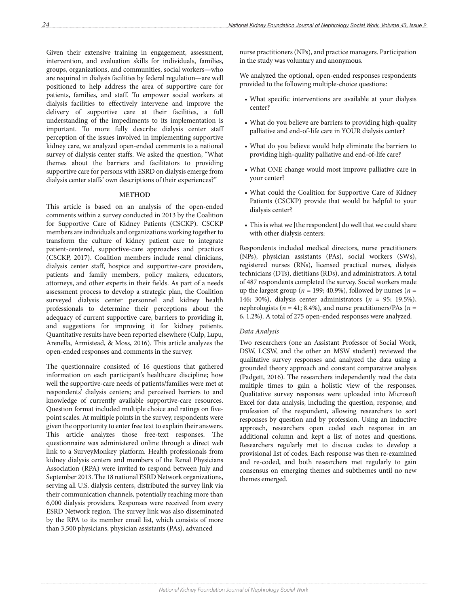Given their extensive training in engagement, assessment, intervention, and evaluation skills for individuals, families, groups, organizations, and communities, social workers—who are required in dialysis facilities by federal regulation—are well positioned to help address the area of supportive care for patients, families, and staff. To empower social workers at dialysis facilities to effectively intervene and improve the delivery of supportive care at their facilities, a full understanding of the impediments to its implementation is important. To more fully describe dialysis center staff perception of the issues involved in implementing supportive kidney care, we analyzed open-ended comments to a national survey of dialysis center staffs. We asked the question, "What themes about the barriers and facilitators to providing supportive care for persons with ESRD on dialysis emerge from dialysis center staffs' own descriptions of their experiences?"

# **METHOD**

This article is based on an analysis of the open-ended comments within a survey conducted in 2013 by the Coalition for Supportive Care of Kidney Patients (CSCKP). CSCKP members are individuals and organizations working together to transform the culture of kidney patient care to integrate patient-centered, supportive-care approaches and practices (CSCKP, 2017). Coalition members include renal clinicians, dialysis center staff, hospice and supportive-care providers, patients and family members, policy makers, educators, attorneys, and other experts in their fields. As part of a needs assessment process to develop a strategic plan, the Coalition surveyed dialysis center personnel and kidney health professionals to determine their perceptions about the adequacy of current supportive care, barriers to providing it, and suggestions for improving it for kidney patients. Quantitative results have been reported elsewhere (Culp, Lupu, Arenella, Armistead, & Moss, 2016). This article analyzes the open-ended responses and comments in the survey.

The questionnaire consisted of 16 questions that gathered information on each participant's healthcare discipline; how well the supportive-care needs of patients/families were met at respondents' dialysis centers; and perceived barriers to and knowledge of currently available supportive-care resources. Question format included multiple choice and ratings on fivepoint scales. At multiple points in the survey, respondents were given the opportunity to enter free text to explain their answers. This article analyzes those free-text responses. The questionnaire was administered online through a direct web link to a SurveyMonkey platform. Health professionals from kidney dialysis centers and members of the Renal Physicians Association (RPA) were invited to respond between July and September 2013. The 18 national ESRD Network organizations, serving all U.S. dialysis centers, distributed the survey link via their communication channels, potentially reaching more than 6,000 dialysis providers. Responses were received from every ESRD Network region. The survey link was also disseminated by the RPA to its member email list, which consists of more than 3,500 physicians, physician assistants (PAs), advanced

nurse practitioners (NPs), and practice managers. Participation in the study was voluntary and anonymous.

We analyzed the optional, open-ended responses respondents provided to the following multiple-choice questions:

- What specific interventions are available at your dialysis center?
- What do you believe are barriers to providing high-quality palliative and end-of-life care in YOUR dialysis center?
- What do you believe would help eliminate the barriers to providing high-quality palliative and end-of-life care?
- What ONE change would most improve palliative care in your center?
- What could the Coalition for Supportive Care of Kidney Patients (CSCKP) provide that would be helpful to your dialysis center?
- This is what we [the respondent] do well that we could share with other dialysis centers:

Respondents included medical directors, nurse practitioners (NPs), physician assistants (PAs), social workers (SWs), registered nurses (RNs), licensed practical nurses, dialysis technicians (DTs), dietitians (RDs), and administrators. A total of 487 respondents completed the survey. Social workers made up the largest group ( $n = 199$ ; 40.9%), followed by nurses ( $n =$ 146; 30%), dialysis center administrators (*n* = 95; 19.5%), nephrologists ( $n = 41$ ; 8.4%), and nurse practitioners/PAs ( $n =$ 6, 1.2%). A total of 275 open-ended responses were analyzed.

### *Data Analysis*

Two researchers (one an Assistant Professor of Social Work, DSW, LCSW, and the other an MSW student) reviewed the qualitative survey responses and analyzed the data using a grounded theory approach and constant comparative analysis (Padgett, 2016). The researchers independently read the data multiple times to gain a holistic view of the responses. Qualitative survey responses were uploaded into Microsoft Excel for data analysis, including the question, response, and profession of the respondent, allowing researchers to sort responses by question and by profession. Using an inductive approach, researchers open coded each response in an additional column and kept a list of notes and questions. Researchers regularly met to discuss codes to develop a provisional list of codes. Each response was then re-examined and re-coded, and both researchers met regularly to gain consensus on emerging themes and subthemes until no new themes emerged.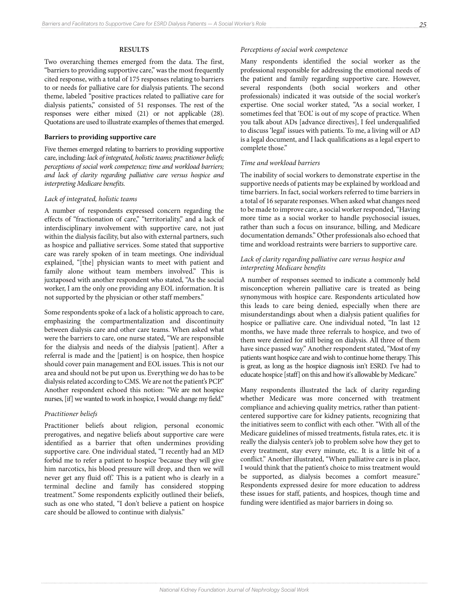# **RESULTS**

Two overarching themes emerged from the data. The first, "barriers to providing supportive care," was the most frequently cited response, with a total of 175 responses relating to barriers to or needs for palliative care for dialysis patients. The second theme, labeled "positive practices related to palliative care for dialysis patients," consisted of 51 responses. The rest of the responses were either mixed (21) or not applicable (28). Quotations are used to illustrate examples of themes that emerged.

### **Barriers to providing supportive care**

Five themes emerged relating to barriers to providing supportive care, including: *lack of integrated, holistic teams; practitioner beliefs; perceptions of social work competence; time and workload barriers; and lack of clarity regarding palliative care versus hospice and interpreting Medicare benefits.*

# *Lack of integrated, holistic teams*

A number of respondents expressed concern regarding the effects of "fractionation of care," "territoriality," and a lack of interdisciplinary involvement with supportive care, not just within the dialysis facility, but also with external partners, such as hospice and palliative services. Some stated that supportive care was rarely spoken of in team meetings. One individual explained, "[the] physician wants to meet with patient and family alone without team members involved." This is juxtaposed with another respondent who stated, "As the social worker, I am the only one providing any EOL information. It is not supported by the physician or other staff members."

Some respondents spoke of a lack of a holistic approach to care, emphasizing the compartmentalization and discontinuity between dialysis care and other care teams. When asked what were the barriers to care, one nurse stated, "We are responsible for the dialysis and needs of the dialysis [patient]. After a referral is made and the [patient] is on hospice, then hospice should cover pain management and EOL issues. This is not our area and should not be put upon us. Everything we do has to be dialysis related according to CMS. We are not the patient's PCP." Another respondent echoed this notion: "We are not hospice nurses, [if] we wanted to work in hospice, I would change my field."

# *Practitioner beliefs*

Practitioner beliefs about religion, personal economic prerogatives, and negative beliefs about supportive care were identified as a barrier that often undermines providing supportive care. One individual stated, "I recently had an MD forbid me to refer a patient to hospice 'because they will give him narcotics, his blood pressure will drop, and then we will never get any fluid off.' This is a patient who is clearly in a terminal decline and family has considered stopping treatment." Some respondents explicitly outlined their beliefs, such as one who stated, "I don't believe a patient on hospice care should be allowed to continue with dialysis."

# *Perceptions of social work competence*

Many respondents identified the social worker as the professional responsible for addressing the emotional needs of the patient and family regarding supportive care. However, several respondents (both social workers and other professionals) indicated it was outside of the social worker's expertise. One social worker stated, "As a social worker, I sometimes feel that 'EOL' is out of my scope of practice. When you talk about ADs [advance directives], I feel underqualified to discuss 'legal' issues with patients. To me, a living will or AD is a legal document, and I lack qualifications as a legal expert to complete those."

# *Time and workload barriers*

The inability of social workers to demonstrate expertise in the supportive needs of patients may be explained by workload and time barriers. In fact, social workers referred to time barriers in a total of 16 separate responses. When asked what changes need to be made to improve care, a social worker responded, "Having more time as a social worker to handle psychosocial issues, rather than such a focus on insurance, billing, and Medicare documentation demands." Other professionals also echoed that time and workload restraints were barriers to supportive care.

# *Lack of clarity regarding palliative care versus hospice and interpreting Medicare benefits*

A number of responses seemed to indicate a commonly held misconception wherein palliative care is treated as being synonymous with hospice care. Respondents articulated how this leads to care being denied, especially when there are misunderstandings about when a dialysis patient qualifies for hospice or palliative care. One individual noted, "In last 12 months, we have made three referrals to hospice, and two of them were denied for still being on dialysis. All three of them have since passed way." Another respondent stated, "Most of my patients want hospice care and wish to continue home therapy. This is great, as long as the hospice diagnosis isn't ESRD. I've had to educate hospice [staff] on this and how it's allowable by Medicare."

Many respondents illustrated the lack of clarity regarding whether Medicare was more concerned with treatment compliance and achieving quality metrics, rather than patientcentered supportive care for kidney patients, recognizing that the initiatives seem to conflict with each other. "With all of the Medicare guidelines of missed treatments, fistula rates, etc. it is really the dialysis center's job to problem solve how they get to every treatment, stay every minute, etc. It is a little bit of a conflict." Another illustrated, "When palliative care is in place, I would think that the patient's choice to miss treatment would be supported, as dialysis becomes a comfort measure." Respondents expressed desire for more education to address these issues for staff, patients, and hospices, though time and funding were identified as major barriers in doing so.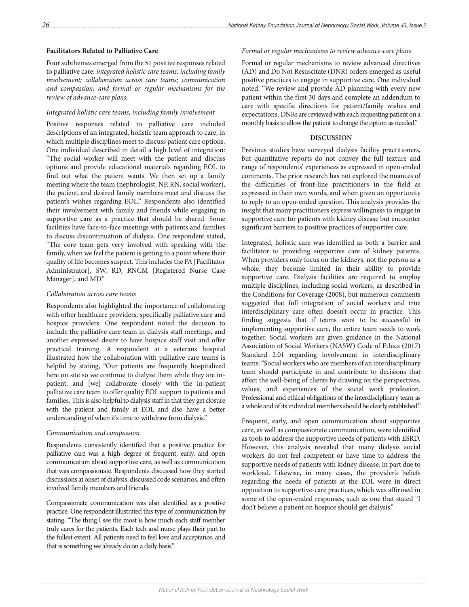# **Facilitators Related to Palliative Care**

Four subthemes emerged from the 51 positive responses related to palliative care: *integrated holistic care teams, including family involvement; collaboration across care teams; communication and compassion; and formal or regular mechanisms for the review of advance-care plans.*

### *Integrated holistic care teams, including family involvement*

Positive responses related to palliative care included descriptions of an integrated, holistic team approach to care, in which multiple disciplines meet to discuss patient care options. One individual described in detail a high level of integration: "The social worker will meet with the patient and discuss options and provide educational materials regarding EOL to find out what the patient wants. We then set up a family meeting where the team (nephrologist, NP, RN, social worker), the patient, and desired family members meet and discuss the patient's wishes regarding EOL." Respondents also identified their involvement with family and friends while engaging in supportive care as a practice that should be shared. Some facilities have face-to-face meetings with patients and families to discuss discontinuation of dialysis. One respondent stated, "The core team gets very involved with speaking with the family, when we feel the patient is getting to a point where their quality of life becomes suspect. This includes the FA [Facilitator Administrator], SW, RD, RNCM [Registered Nurse Case Manager], and MD."

# *Collaboration across care teams*

Respondents also highlighted the importance of collaborating with other healthcare providers, specifically palliative care and hospice providers. One respondent noted the decision to include the palliative care team in dialysis staff meetings, and another expressed desire to have hospice staff visit and offer practical training. A respondent at a veterans hospital illustrated how the collaboration with palliative care teams is helpful by stating, "Our patients are frequently hospitalized here on site so we continue to dialyze them while they are inpatient, and [we] collaborate closely with the in-patient palliative care team to offer quality EOL support to patients and families. This is also helpful to dialysis staff in that they get closure with the patient and family at EOL and also have a better understanding of when it's time to withdraw from dialysis."

### *Communication and compassion*

Respondents consistently identified that a positive practice for palliative care was a high degree of frequent, early, and open communication about supportive care, as well as communication that was compassionate. Respondents discussed how they started discussions at onset of dialysis, discussed code scenarios, and often involved family members and friends.

Compassionate communication was also identified as a positive practice. One respondent illustrated this type of communication by stating, "The thing I see the most is how much each staff member truly cares for the patients. Each tech and nurse plays their part to the fullest extent. All patients need to feel love and acceptance, and that is something we already do on a daily basis."

# *Formal or regular mechanisms to review advance-care plans*

Formal or regular mechanisms to review advanced directives (AD) and Do Not Resuscitate (DNR) orders emerged as useful positive practices to engage in supportive care. One individual noted, "We review and provide AD planning with every new patient within the first 30 days and complete an addendum to care with specific directions for patient/family wishes and expectations. DNRs are reviewed with each requesting patient on a monthly basis to allow the patient to change the option as needed."

### **DISCUSSION**

Previous studies have surveyed dialysis facility practitioners, but quantitative reports do not convey the full texture and range of respondents' experiences as expressed in open-ended comments. The prior research has not explored the nuances of the difficulties of front-line practitioners in the field as expressed in their own words, and when given an opportunity to reply to an open-ended question. This analysis provides the insight that many practitioners express willingness to engage in supportive care for patients with kidney disease but encounter significant barriers to positive practices of supportive care.

Integrated, holistic care was identified as both a barrier and facilitator to providing supportive care of kidney patients. When providers only focus on the kidneys, not the person as a whole, they become limited in their ability to provide supportive care. Dialysis facilities are required to employ multiple disciplines, including social workers, as described in the Conditions for Coverage (2008), but numerous comments suggested that full integration of social workers and true interdisciplinary care often doesn't occur in practice. This finding suggests that if teams want to be successful in implementing supportive care, the entire team needs to work together. Social workers are given guidance in the National Association of Social Workers (NASW) Code of Ethics (2017) Standard 2.01 regarding involvement in interdisciplinary teams: "Social workers who are members of an interdisciplinary team should participate in and contribute to decisions that affect the well-being of clients by drawing on the perspectives, values, and experiences of the social work profession. Professional and ethical obligations of the interdisciplinary team as a whole and of its individual members should be clearly established."

Frequent, early, and open communication about supportive care, as well as compassionate communication, were identified as tools to address the supportive needs of patients with ESRD. However, this analysis revealed that many dialysis social workers do not feel competent or have time to address the supportive needs of patients with kidney disease, in part due to workload. Likewise, in many cases, the provider's beliefs regarding the needs of patients at the EOL were in direct opposition to supportive-care practices, which was affirmed in some of the open-ended responses, such as one that stated "I don't believe a patient on hospice should get dialysis."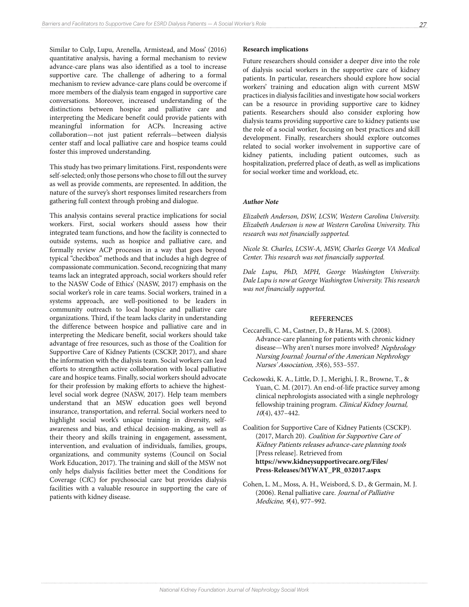Similar to Culp, Lupu, Arenella, Armistead, and Moss' (2016) quantitative analysis, having a formal mechanism to review advance-care plans was also identified as a tool to increase supportive care. The challenge of adhering to a formal mechanism to review advance-care plans could be overcome if more members of the dialysis team engaged in supportive care conversations. Moreover, increased understanding of the distinctions between hospice and palliative care and interpreting the Medicare benefit could provide patients with meaningful information for ACPs. Increasing active collaboration—not just patient referrals—between dialysis center staff and local palliative care and hospice teams could foster this improved understanding.

This study has two primary limitations. First, respondents were self-selected; only those persons who chose to fill out the survey as well as provide comments, are represented. In addition, the nature of the survey's short responses limited researchers from gathering full context through probing and dialogue.

This analysis contains several practice implications for social workers. First, social workers should assess how their integrated team functions, and how the facility is connected to outside systems, such as hospice and palliative care, and formally review ACP processes in a way that goes beyond typical "checkbox" methods and that includes a high degree of compassionate communication. Second, recognizing that many teams lack an integrated approach, social workers should refer to the NASW Code of Ethics' (NASW, 2017) emphasis on the social worker's role in care teams. Social workers, trained in a systems approach, are well-positioned to be leaders in community outreach to local hospice and palliative care organizations. Third, if the team lacks clarity in understanding the difference between hospice and palliative care and in interpreting the Medicare benefit, social workers should take advantage of free resources, such as those of the Coalition for Supportive Care of Kidney Patients (CSCKP, 2017), and share the information with the dialysis team. Social workers can lead efforts to strengthen active collaboration with local palliative care and hospice teams. Finally, social workers should advocate for their profession by making efforts to achieve the highestlevel social work degree (NASW, 2017). Help team members understand that an MSW education goes well beyond insurance, transportation, and referral. Social workers need to highlight social work's unique training in diversity, selfawareness and bias, and ethical decision-making, as well as their theory and skills training in engagement, assessment, intervention, and evaluation of individuals, families, groups, organizations, and community systems (Council on Social Work Education, 2017). The training and skill of the MSW not only helps dialysis facilities better meet the Conditions for Coverage (CfC) for psychosocial care but provides dialysis facilities with a valuable resource in supporting the care of patients with kidney disease.

# **Research implications**

Future researchers should consider a deeper dive into the role of dialysis social workers in the supportive care of kidney patients. In particular, researchers should explore how social workers' training and education align with current MSW practices in dialysis facilities and investigate how social workers can be a resource in providing supportive care to kidney patients. Researchers should also consider exploring how dialysis teams providing supportive care to kidney patients use the role of a social worker, focusing on best practices and skill development. Finally, researchers should explore outcomes related to social worker involvement in supportive care of kidney patients, including patient outcomes, such as hospitalization, preferred place of death, as well as implications for social worker time and workload, etc.

# *Author Note*

*Elizabeth Anderson, DSW, LCSW, Western Carolina University. Elizabeth Anderson is now at Western Carolina University. This research was not financially supported.*

*Nicole St. Charles, LCSW-A, MSW, Charles George VA Medical Center. This research was not financially supported.*

*Dale Lupu, PhD, MPH, George Washington University. Dale Lupu is now at George Washington University. This research was not financially supported.* 

# **REFERENCES**

- Ceccarelli, C. M., Castner, D., & Haras, M. S. (2008). Advance-care planning for patients with chronic kidney disease—Why aren't nurses more involved? Nephrology Nursing Journal: Journal of the American Nephrology Nurses' Association, 35(6), 553–557.
- Ceckowski, K. A., Little, D. J., Merighi, J. R., Browne, T., & Yuan, C. M. (2017). An end-of-life practice survey among clinical nephrologists associated with a single nephrology fellowship training program. Clinical Kidney Journal,  $10(4)$ , 437-442.

Coalition for Supportive Care of Kidney Patients (CSCKP). (2017, March 20). Coalition for Supportive Care of Kidney Patients releases advance-care planning tools [Press release]. Retrieved from **https://www.kidneysupportivecare.org/Files/ Press-Releases/MYWAY\_PR\_032017.aspx**

Cohen, L. M., Moss, A. H., Weisbord, S. D., & Germain, M. J. (2006). Renal palliative care. Journal of Palliative Medicine, 9(4), 977-992.